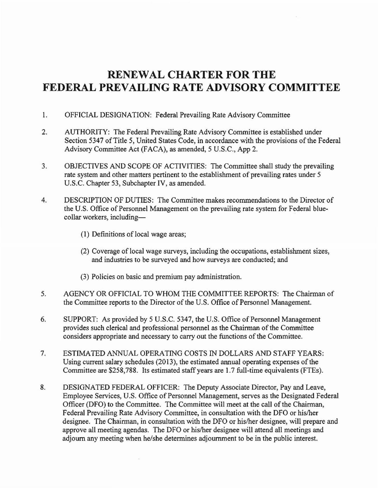## **RENEWAL CHARTER FOR THE FEDERAL PREVAILING RATE ADVISORY COMMITTEE**

- 1. OFFICIAL DESIGNATION: Federal Prevailing Rate Advisory Committee
- 2. AUTHORITY: The Federal Prevailing Rate Advisory Committee is established under Section 5347 of Title 5, United States Code, in accordance with the provisions of the Federal Advisory Committee Act (FACA), as amended, 5 U.S.C., App 2.
- 3. OBJECTIVES AND SCOPE OF ACTIVITIES: The Committee shall study the prevailing rate system and other matters pertinent to the establishment of prevailing rates under 5 U.S.C. Chapter 53, Subchapter IV, as amended.
- 4. DESCRIPTION OF DUTIES: The Committee makes recommendations to the Director of the U.S. Office of Personnel Management on the prevailing rate system for Federal bluecollar workers, including
	- (1) Definitions of local wage areas;
	- (2) Coverage of local wage surveys, including the occupations, establishment sizes, and industries to be surveyed and how surveys are conducted; and
	- (3) Policies on basic and premium pay administration.
- 5. AGENCY OR OFFICIAL TO WHOM THE COMMITTEE REPORTS: The Chairman of the Committee reports to the Director of the U.S. Office of Personnel Management.
- 6. SUPPORT: As provided by 5 U.S.C. 5347, the U.S. Office of Personnel Management provides such clerical and professional personnel as the Chairman of the Committee considers appropriate and necessary to carry out the functions of the Committee.
- 7. ESTIMATED ANNUAL OPERATING COSTS IN DOLLARS AND STAFF YEARS: Using current salary schedules (2013), the estimated annual operating expenses of the Committee are \$258,788. Its estimated staff years are 1.7 full-time equivalents (FTEs).
- 8. DESIGNATED FEDERAL OFFICER: The Deputy Associate Director, Pay and Leave, Employee Services, U.S. Office of Personnel Management, serves as the Designated Federal Officer (DFO) to the Committee. The Committee will meet at the call of the Chairman, Federal Prevailing Rate Advisory Committee, in consultation with the DFO or his/her designee. The Chairman, in consultation with the DFO or his/her designee, will prepare and approve all meeting agendas. The DFO or his/her designee will attend all meetings and adjourn any meeting when he/she determines adjournment to be in the public interest.